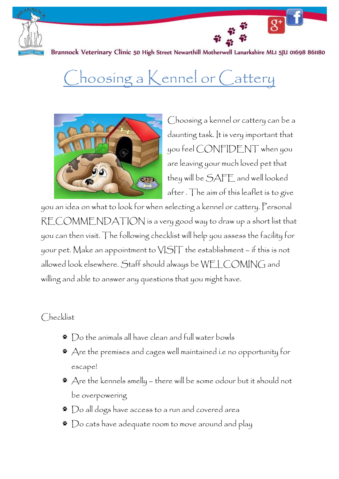

Brannock Veterinary Clinic 50 High Street Newarthill Motherwell Lanarkshire MLI 5JU 01698 861180

## Choosing a Kennel or Cattery



Choosing a kennel or cattery can be a daunting task. It is very important that you feel CONFIDENT when you are leaving your much loved pet that they will be SAFE and well looked after . The aim of this leaflet is to give

 $\overline{S^+}$ 

you an idea on what to look for when selecting a kennel or cattery. Personal RECOMMENDATION is a very good way to draw up a short list that you can then visit. The following checklist will help you assess the facility for your pet. Make an appointment to VISIT the establishment – if this is not allowed look elsewhere. Staff should always be WELCOMING and willing and able to answer any questions that you might have.

## Checklist

- Do the animals all have clean and full water bowls
- Are the premises and cages well maintained i.e no opportunity for escape!
- $*$  Are the kennels smelly there will be some odour but it should not be overpowering
- Do all dogs have access to a run and covered area
- $\bullet$   $\bullet$  Do cats have adequate room to move around and play